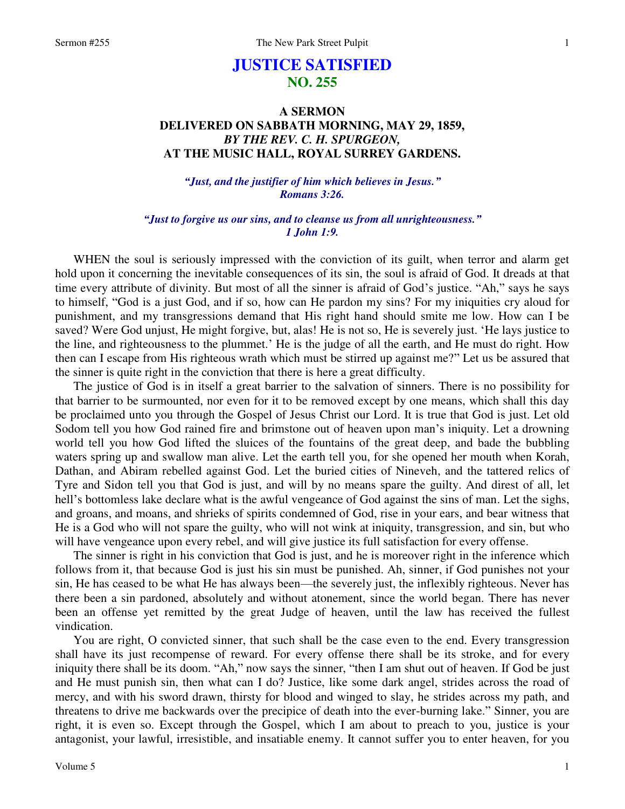# **JUSTICE SATISFIED NO. 255**

## **A SERMON DELIVERED ON SABBATH MORNING, MAY 29, 1859,**  *BY THE REV. C. H. SPURGEON,*  **AT THE MUSIC HALL, ROYAL SURREY GARDENS.**

*"Just, and the justifier of him which believes in Jesus." Romans 3:26.* 

*"Just to forgive us our sins, and to cleanse us from all unrighteousness." 1 John 1:9.* 

WHEN the soul is seriously impressed with the conviction of its guilt, when terror and alarm get hold upon it concerning the inevitable consequences of its sin, the soul is afraid of God. It dreads at that time every attribute of divinity. But most of all the sinner is afraid of God's justice. "Ah," says he says to himself, "God is a just God, and if so, how can He pardon my sins? For my iniquities cry aloud for punishment, and my transgressions demand that His right hand should smite me low. How can I be saved? Were God unjust, He might forgive, but, alas! He is not so, He is severely just. 'He lays justice to the line, and righteousness to the plummet.' He is the judge of all the earth, and He must do right. How then can I escape from His righteous wrath which must be stirred up against me?" Let us be assured that the sinner is quite right in the conviction that there is here a great difficulty.

The justice of God is in itself a great barrier to the salvation of sinners. There is no possibility for that barrier to be surmounted, nor even for it to be removed except by one means, which shall this day be proclaimed unto you through the Gospel of Jesus Christ our Lord. It is true that God is just. Let old Sodom tell you how God rained fire and brimstone out of heaven upon man's iniquity. Let a drowning world tell you how God lifted the sluices of the fountains of the great deep, and bade the bubbling waters spring up and swallow man alive. Let the earth tell you, for she opened her mouth when Korah, Dathan, and Abiram rebelled against God. Let the buried cities of Nineveh, and the tattered relics of Tyre and Sidon tell you that God is just, and will by no means spare the guilty. And direst of all, let hell's bottomless lake declare what is the awful vengeance of God against the sins of man. Let the sighs, and groans, and moans, and shrieks of spirits condemned of God, rise in your ears, and bear witness that He is a God who will not spare the guilty, who will not wink at iniquity, transgression, and sin, but who will have vengeance upon every rebel, and will give justice its full satisfaction for every offense.

The sinner is right in his conviction that God is just, and he is moreover right in the inference which follows from it, that because God is just his sin must be punished. Ah, sinner, if God punishes not your sin, He has ceased to be what He has always been—the severely just, the inflexibly righteous. Never has there been a sin pardoned, absolutely and without atonement, since the world began. There has never been an offense yet remitted by the great Judge of heaven, until the law has received the fullest vindication.

You are right, O convicted sinner, that such shall be the case even to the end. Every transgression shall have its just recompense of reward. For every offense there shall be its stroke, and for every iniquity there shall be its doom. "Ah," now says the sinner, "then I am shut out of heaven. If God be just and He must punish sin, then what can I do? Justice, like some dark angel, strides across the road of mercy, and with his sword drawn, thirsty for blood and winged to slay, he strides across my path, and threatens to drive me backwards over the precipice of death into the ever-burning lake." Sinner, you are right, it is even so. Except through the Gospel, which I am about to preach to you, justice is your antagonist, your lawful, irresistible, and insatiable enemy. It cannot suffer you to enter heaven, for you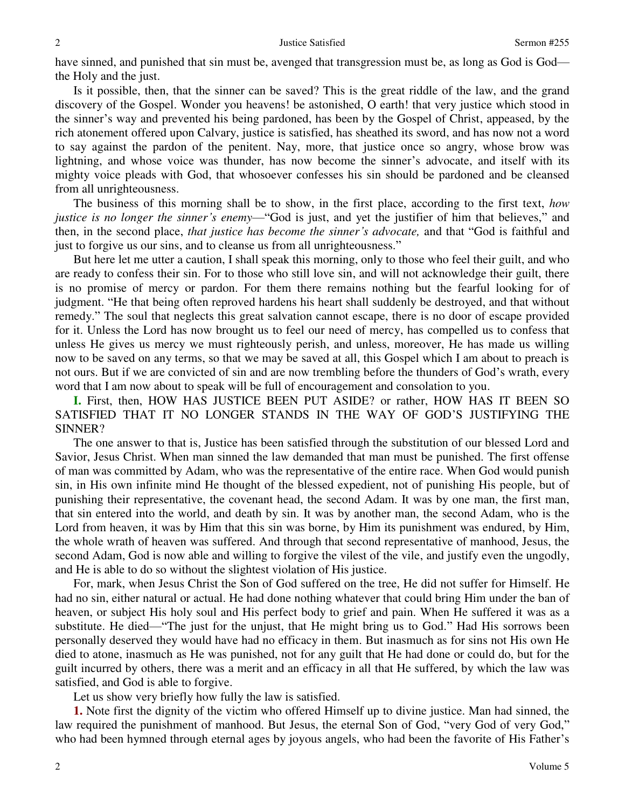have sinned, and punished that sin must be, avenged that transgression must be, as long as God is God the Holy and the just.

Is it possible, then, that the sinner can be saved? This is the great riddle of the law, and the grand discovery of the Gospel. Wonder you heavens! be astonished, O earth! that very justice which stood in the sinner's way and prevented his being pardoned, has been by the Gospel of Christ, appeased, by the rich atonement offered upon Calvary, justice is satisfied, has sheathed its sword, and has now not a word to say against the pardon of the penitent. Nay, more, that justice once so angry, whose brow was lightning, and whose voice was thunder, has now become the sinner's advocate, and itself with its mighty voice pleads with God, that whosoever confesses his sin should be pardoned and be cleansed from all unrighteousness.

The business of this morning shall be to show, in the first place, according to the first text, *how justice is no longer the sinner's enemy*—"God is just, and yet the justifier of him that believes," and then, in the second place, *that justice has become the sinner's advocate,* and that "God is faithful and just to forgive us our sins, and to cleanse us from all unrighteousness."

But here let me utter a caution, I shall speak this morning, only to those who feel their guilt, and who are ready to confess their sin. For to those who still love sin, and will not acknowledge their guilt, there is no promise of mercy or pardon. For them there remains nothing but the fearful looking for of judgment. "He that being often reproved hardens his heart shall suddenly be destroyed, and that without remedy." The soul that neglects this great salvation cannot escape, there is no door of escape provided for it. Unless the Lord has now brought us to feel our need of mercy, has compelled us to confess that unless He gives us mercy we must righteously perish, and unless, moreover, He has made us willing now to be saved on any terms, so that we may be saved at all, this Gospel which I am about to preach is not ours. But if we are convicted of sin and are now trembling before the thunders of God's wrath, every word that I am now about to speak will be full of encouragement and consolation to you.

**I.** First, then, HOW HAS JUSTICE BEEN PUT ASIDE? or rather, HOW HAS IT BEEN SO SATISFIED THAT IT NO LONGER STANDS IN THE WAY OF GOD'S JUSTIFYING THE SINNER?

The one answer to that is, Justice has been satisfied through the substitution of our blessed Lord and Savior, Jesus Christ. When man sinned the law demanded that man must be punished. The first offense of man was committed by Adam, who was the representative of the entire race. When God would punish sin, in His own infinite mind He thought of the blessed expedient, not of punishing His people, but of punishing their representative, the covenant head, the second Adam. It was by one man, the first man, that sin entered into the world, and death by sin. It was by another man, the second Adam, who is the Lord from heaven, it was by Him that this sin was borne, by Him its punishment was endured, by Him, the whole wrath of heaven was suffered. And through that second representative of manhood, Jesus, the second Adam, God is now able and willing to forgive the vilest of the vile, and justify even the ungodly, and He is able to do so without the slightest violation of His justice.

For, mark, when Jesus Christ the Son of God suffered on the tree, He did not suffer for Himself. He had no sin, either natural or actual. He had done nothing whatever that could bring Him under the ban of heaven, or subject His holy soul and His perfect body to grief and pain. When He suffered it was as a substitute. He died—"The just for the unjust, that He might bring us to God." Had His sorrows been personally deserved they would have had no efficacy in them. But inasmuch as for sins not His own He died to atone, inasmuch as He was punished, not for any guilt that He had done or could do, but for the guilt incurred by others, there was a merit and an efficacy in all that He suffered, by which the law was satisfied, and God is able to forgive.

Let us show very briefly how fully the law is satisfied.

**1.** Note first the dignity of the victim who offered Himself up to divine justice. Man had sinned, the law required the punishment of manhood. But Jesus, the eternal Son of God, "very God of very God," who had been hymned through eternal ages by joyous angels, who had been the favorite of His Father's

2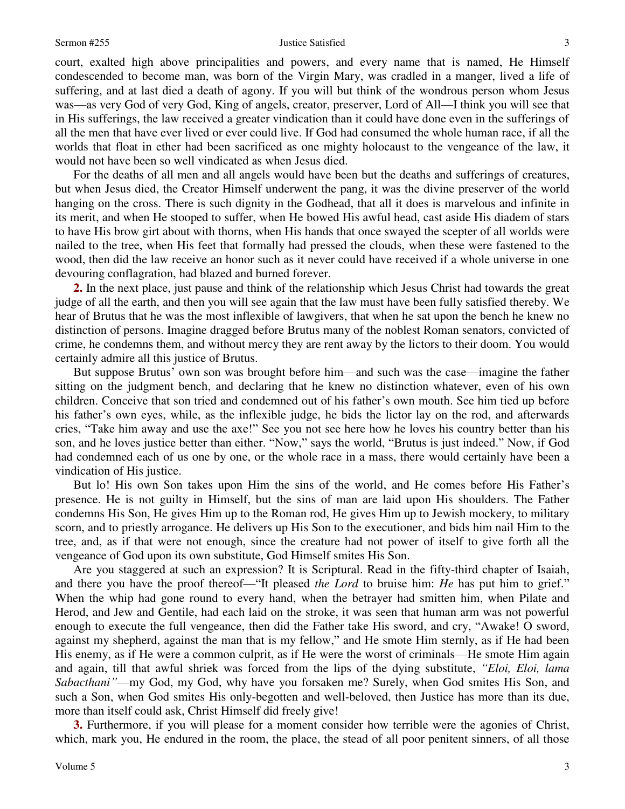### Sermon #255 Justice Satisfied

court, exalted high above principalities and powers, and every name that is named, He Himself condescended to become man, was born of the Virgin Mary, was cradled in a manger, lived a life of suffering, and at last died a death of agony. If you will but think of the wondrous person whom Jesus was—as very God of very God, King of angels, creator, preserver, Lord of All—I think you will see that in His sufferings, the law received a greater vindication than it could have done even in the sufferings of all the men that have ever lived or ever could live. If God had consumed the whole human race, if all the worlds that float in ether had been sacrificed as one mighty holocaust to the vengeance of the law, it would not have been so well vindicated as when Jesus died.

For the deaths of all men and all angels would have been but the deaths and sufferings of creatures, but when Jesus died, the Creator Himself underwent the pang, it was the divine preserver of the world hanging on the cross. There is such dignity in the Godhead, that all it does is marvelous and infinite in its merit, and when He stooped to suffer, when He bowed His awful head, cast aside His diadem of stars to have His brow girt about with thorns, when His hands that once swayed the scepter of all worlds were nailed to the tree, when His feet that formally had pressed the clouds, when these were fastened to the wood, then did the law receive an honor such as it never could have received if a whole universe in one devouring conflagration, had blazed and burned forever.

**2.** In the next place, just pause and think of the relationship which Jesus Christ had towards the great judge of all the earth, and then you will see again that the law must have been fully satisfied thereby. We hear of Brutus that he was the most inflexible of lawgivers, that when he sat upon the bench he knew no distinction of persons. Imagine dragged before Brutus many of the noblest Roman senators, convicted of crime, he condemns them, and without mercy they are rent away by the lictors to their doom. You would certainly admire all this justice of Brutus.

But suppose Brutus' own son was brought before him—and such was the case—imagine the father sitting on the judgment bench, and declaring that he knew no distinction whatever, even of his own children. Conceive that son tried and condemned out of his father's own mouth. See him tied up before his father's own eyes, while, as the inflexible judge, he bids the lictor lay on the rod, and afterwards cries, "Take him away and use the axe!" See you not see here how he loves his country better than his son, and he loves justice better than either. "Now," says the world, "Brutus is just indeed." Now, if God had condemned each of us one by one, or the whole race in a mass, there would certainly have been a vindication of His justice.

But lo! His own Son takes upon Him the sins of the world, and He comes before His Father's presence. He is not guilty in Himself, but the sins of man are laid upon His shoulders. The Father condemns His Son, He gives Him up to the Roman rod, He gives Him up to Jewish mockery, to military scorn, and to priestly arrogance. He delivers up His Son to the executioner, and bids him nail Him to the tree, and, as if that were not enough, since the creature had not power of itself to give forth all the vengeance of God upon its own substitute, God Himself smites His Son.

Are you staggered at such an expression? It is Scriptural. Read in the fifty-third chapter of Isaiah, and there you have the proof thereof—"It pleased *the Lord* to bruise him: *He* has put him to grief." When the whip had gone round to every hand, when the betrayer had smitten him, when Pilate and Herod, and Jew and Gentile, had each laid on the stroke, it was seen that human arm was not powerful enough to execute the full vengeance, then did the Father take His sword, and cry, "Awake! O sword, against my shepherd, against the man that is my fellow," and He smote Him sternly, as if He had been His enemy, as if He were a common culprit, as if He were the worst of criminals—He smote Him again and again, till that awful shriek was forced from the lips of the dying substitute, *"Eloi, Eloi, lama Sabacthani"*—my God, my God, why have you forsaken me? Surely, when God smites His Son, and such a Son, when God smites His only-begotten and well-beloved, then Justice has more than its due, more than itself could ask, Christ Himself did freely give!

**3.** Furthermore, if you will please for a moment consider how terrible were the agonies of Christ, which, mark you, He endured in the room, the place, the stead of all poor penitent sinners, of all those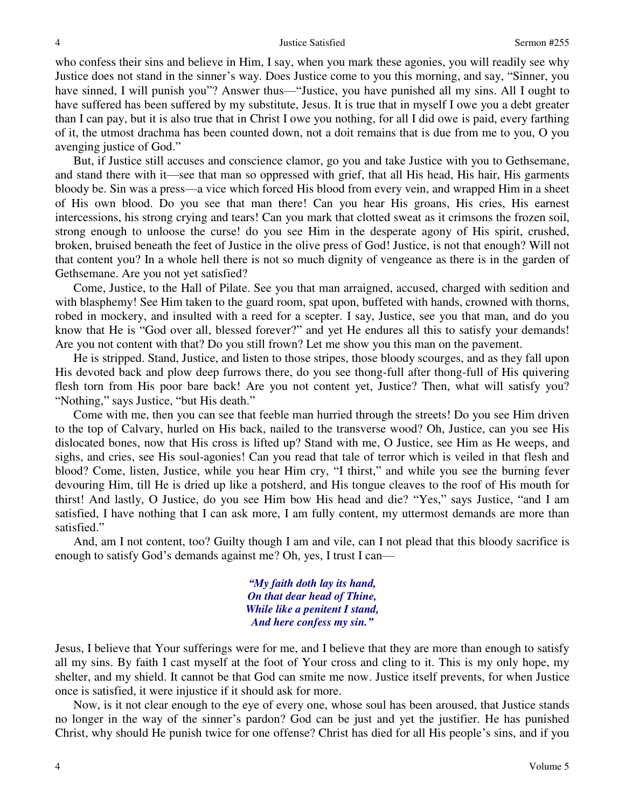who confess their sins and believe in Him, I say, when you mark these agonies, you will readily see why Justice does not stand in the sinner's way. Does Justice come to you this morning, and say, "Sinner, you have sinned, I will punish you"? Answer thus—"Justice, you have punished all my sins. All I ought to have suffered has been suffered by my substitute, Jesus. It is true that in myself I owe you a debt greater than I can pay, but it is also true that in Christ I owe you nothing, for all I did owe is paid, every farthing of it, the utmost drachma has been counted down, not a doit remains that is due from me to you, O you avenging justice of God."

But, if Justice still accuses and conscience clamor, go you and take Justice with you to Gethsemane, and stand there with it—see that man so oppressed with grief, that all His head, His hair, His garments bloody be. Sin was a press—a vice which forced His blood from every vein, and wrapped Him in a sheet of His own blood. Do you see that man there! Can you hear His groans, His cries, His earnest intercessions, his strong crying and tears! Can you mark that clotted sweat as it crimsons the frozen soil, strong enough to unloose the curse! do you see Him in the desperate agony of His spirit, crushed, broken, bruised beneath the feet of Justice in the olive press of God! Justice, is not that enough? Will not that content you? In a whole hell there is not so much dignity of vengeance as there is in the garden of Gethsemane. Are you not yet satisfied?

Come, Justice, to the Hall of Pilate. See you that man arraigned, accused, charged with sedition and with blasphemy! See Him taken to the guard room, spat upon, buffeted with hands, crowned with thorns, robed in mockery, and insulted with a reed for a scepter. I say, Justice, see you that man, and do you know that He is "God over all, blessed forever?" and yet He endures all this to satisfy your demands! Are you not content with that? Do you still frown? Let me show you this man on the pavement.

He is stripped. Stand, Justice, and listen to those stripes, those bloody scourges, and as they fall upon His devoted back and plow deep furrows there, do you see thong-full after thong-full of His quivering flesh torn from His poor bare back! Are you not content yet, Justice? Then, what will satisfy you? "Nothing," says Justice, "but His death."

Come with me, then you can see that feeble man hurried through the streets! Do you see Him driven to the top of Calvary, hurled on His back, nailed to the transverse wood? Oh, Justice, can you see His dislocated bones, now that His cross is lifted up? Stand with me, O Justice, see Him as He weeps, and sighs, and cries, see His soul-agonies! Can you read that tale of terror which is veiled in that flesh and blood? Come, listen, Justice, while you hear Him cry, "I thirst," and while you see the burning fever devouring Him, till He is dried up like a potsherd, and His tongue cleaves to the roof of His mouth for thirst! And lastly, O Justice, do you see Him bow His head and die? "Yes," says Justice, "and I am satisfied, I have nothing that I can ask more, I am fully content, my uttermost demands are more than satisfied."

And, am I not content, too? Guilty though I am and vile, can I not plead that this bloody sacrifice is enough to satisfy God's demands against me? Oh, yes, I trust I can—

> *"My faith doth lay its hand, On that dear head of Thine, While like a penitent I stand, And here confess my sin."*

Jesus, I believe that Your sufferings were for me, and I believe that they are more than enough to satisfy all my sins. By faith I cast myself at the foot of Your cross and cling to it. This is my only hope, my shelter, and my shield. It cannot be that God can smite me now. Justice itself prevents, for when Justice once is satisfied, it were injustice if it should ask for more.

Now, is it not clear enough to the eye of every one, whose soul has been aroused, that Justice stands no longer in the way of the sinner's pardon? God can be just and yet the justifier. He has punished Christ, why should He punish twice for one offense? Christ has died for all His people's sins, and if you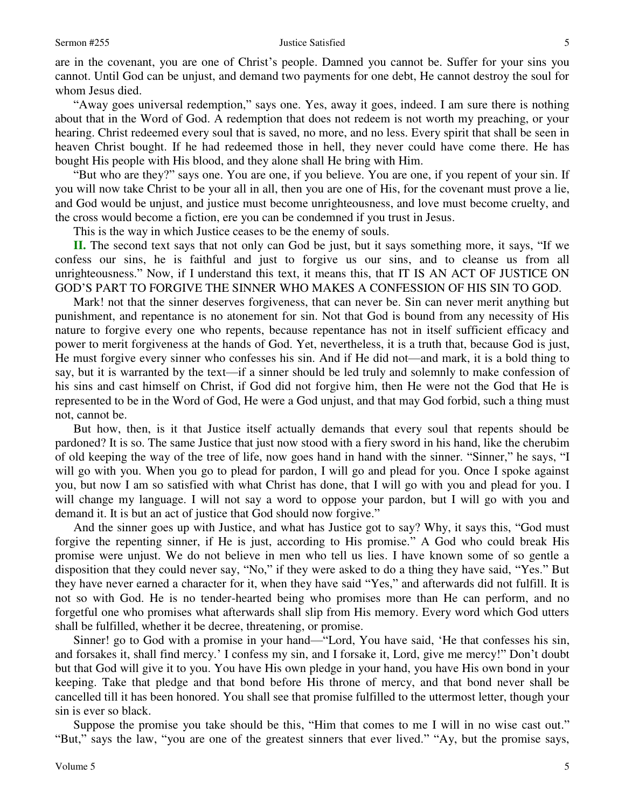are in the covenant, you are one of Christ's people. Damned you cannot be. Suffer for your sins you cannot. Until God can be unjust, and demand two payments for one debt, He cannot destroy the soul for whom Jesus died.

"Away goes universal redemption," says one. Yes, away it goes, indeed. I am sure there is nothing about that in the Word of God. A redemption that does not redeem is not worth my preaching, or your hearing. Christ redeemed every soul that is saved, no more, and no less. Every spirit that shall be seen in heaven Christ bought. If he had redeemed those in hell, they never could have come there. He has bought His people with His blood, and they alone shall He bring with Him.

"But who are they?" says one. You are one, if you believe. You are one, if you repent of your sin. If you will now take Christ to be your all in all, then you are one of His, for the covenant must prove a lie, and God would be unjust, and justice must become unrighteousness, and love must become cruelty, and the cross would become a fiction, ere you can be condemned if you trust in Jesus.

This is the way in which Justice ceases to be the enemy of souls.

**II.** The second text says that not only can God be just, but it says something more, it says, "If we confess our sins, he is faithful and just to forgive us our sins, and to cleanse us from all unrighteousness." Now, if I understand this text, it means this, that IT IS AN ACT OF JUSTICE ON GOD'S PART TO FORGIVE THE SINNER WHO MAKES A CONFESSION OF HIS SIN TO GOD.

Mark! not that the sinner deserves forgiveness, that can never be. Sin can never merit anything but punishment, and repentance is no atonement for sin. Not that God is bound from any necessity of His nature to forgive every one who repents, because repentance has not in itself sufficient efficacy and power to merit forgiveness at the hands of God. Yet, nevertheless, it is a truth that, because God is just, He must forgive every sinner who confesses his sin. And if He did not—and mark, it is a bold thing to say, but it is warranted by the text—if a sinner should be led truly and solemnly to make confession of his sins and cast himself on Christ, if God did not forgive him, then He were not the God that He is represented to be in the Word of God, He were a God unjust, and that may God forbid, such a thing must not, cannot be.

But how, then, is it that Justice itself actually demands that every soul that repents should be pardoned? It is so. The same Justice that just now stood with a fiery sword in his hand, like the cherubim of old keeping the way of the tree of life, now goes hand in hand with the sinner. "Sinner," he says, "I will go with you. When you go to plead for pardon, I will go and plead for you. Once I spoke against you, but now I am so satisfied with what Christ has done, that I will go with you and plead for you. I will change my language. I will not say a word to oppose your pardon, but I will go with you and demand it. It is but an act of justice that God should now forgive."

And the sinner goes up with Justice, and what has Justice got to say? Why, it says this, "God must forgive the repenting sinner, if He is just, according to His promise." A God who could break His promise were unjust. We do not believe in men who tell us lies. I have known some of so gentle a disposition that they could never say, "No," if they were asked to do a thing they have said, "Yes." But they have never earned a character for it, when they have said "Yes," and afterwards did not fulfill. It is not so with God. He is no tender-hearted being who promises more than He can perform, and no forgetful one who promises what afterwards shall slip from His memory. Every word which God utters shall be fulfilled, whether it be decree, threatening, or promise.

Sinner! go to God with a promise in your hand—"Lord, You have said, 'He that confesses his sin, and forsakes it, shall find mercy.' I confess my sin, and I forsake it, Lord, give me mercy!" Don't doubt but that God will give it to you. You have His own pledge in your hand, you have His own bond in your keeping. Take that pledge and that bond before His throne of mercy, and that bond never shall be cancelled till it has been honored. You shall see that promise fulfilled to the uttermost letter, though your sin is ever so black.

Suppose the promise you take should be this, "Him that comes to me I will in no wise cast out." "But," says the law, "you are one of the greatest sinners that ever lived." "Ay, but the promise says,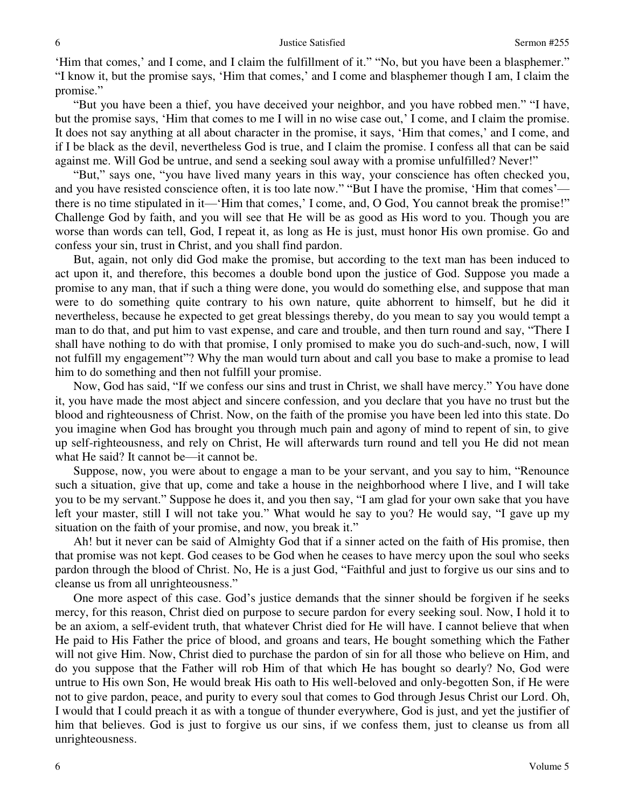'Him that comes,' and I come, and I claim the fulfillment of it." "No, but you have been a blasphemer." "I know it, but the promise says, 'Him that comes,' and I come and blasphemer though I am, I claim the promise."

"But you have been a thief, you have deceived your neighbor, and you have robbed men." "I have, but the promise says, 'Him that comes to me I will in no wise case out,' I come, and I claim the promise. It does not say anything at all about character in the promise, it says, 'Him that comes,' and I come, and if I be black as the devil, nevertheless God is true, and I claim the promise. I confess all that can be said against me. Will God be untrue, and send a seeking soul away with a promise unfulfilled? Never!"

"But," says one, "you have lived many years in this way, your conscience has often checked you, and you have resisted conscience often, it is too late now." "But I have the promise, 'Him that comes' there is no time stipulated in it—'Him that comes,' I come, and, O God, You cannot break the promise!" Challenge God by faith, and you will see that He will be as good as His word to you. Though you are worse than words can tell, God, I repeat it, as long as He is just, must honor His own promise. Go and confess your sin, trust in Christ, and you shall find pardon.

But, again, not only did God make the promise, but according to the text man has been induced to act upon it, and therefore, this becomes a double bond upon the justice of God. Suppose you made a promise to any man, that if such a thing were done, you would do something else, and suppose that man were to do something quite contrary to his own nature, quite abhorrent to himself, but he did it nevertheless, because he expected to get great blessings thereby, do you mean to say you would tempt a man to do that, and put him to vast expense, and care and trouble, and then turn round and say, "There I shall have nothing to do with that promise, I only promised to make you do such-and-such, now, I will not fulfill my engagement"? Why the man would turn about and call you base to make a promise to lead him to do something and then not fulfill your promise.

Now, God has said, "If we confess our sins and trust in Christ, we shall have mercy." You have done it, you have made the most abject and sincere confession, and you declare that you have no trust but the blood and righteousness of Christ. Now, on the faith of the promise you have been led into this state. Do you imagine when God has brought you through much pain and agony of mind to repent of sin, to give up self-righteousness, and rely on Christ, He will afterwards turn round and tell you He did not mean what He said? It cannot be—it cannot be.

Suppose, now, you were about to engage a man to be your servant, and you say to him, "Renounce such a situation, give that up, come and take a house in the neighborhood where I live, and I will take you to be my servant." Suppose he does it, and you then say, "I am glad for your own sake that you have left your master, still I will not take you." What would he say to you? He would say, "I gave up my situation on the faith of your promise, and now, you break it."

Ah! but it never can be said of Almighty God that if a sinner acted on the faith of His promise, then that promise was not kept. God ceases to be God when he ceases to have mercy upon the soul who seeks pardon through the blood of Christ. No, He is a just God, "Faithful and just to forgive us our sins and to cleanse us from all unrighteousness."

One more aspect of this case. God's justice demands that the sinner should be forgiven if he seeks mercy, for this reason, Christ died on purpose to secure pardon for every seeking soul. Now, I hold it to be an axiom, a self-evident truth, that whatever Christ died for He will have. I cannot believe that when He paid to His Father the price of blood, and groans and tears, He bought something which the Father will not give Him. Now, Christ died to purchase the pardon of sin for all those who believe on Him, and do you suppose that the Father will rob Him of that which He has bought so dearly? No, God were untrue to His own Son, He would break His oath to His well-beloved and only-begotten Son, if He were not to give pardon, peace, and purity to every soul that comes to God through Jesus Christ our Lord. Oh, I would that I could preach it as with a tongue of thunder everywhere, God is just, and yet the justifier of him that believes. God is just to forgive us our sins, if we confess them, just to cleanse us from all unrighteousness.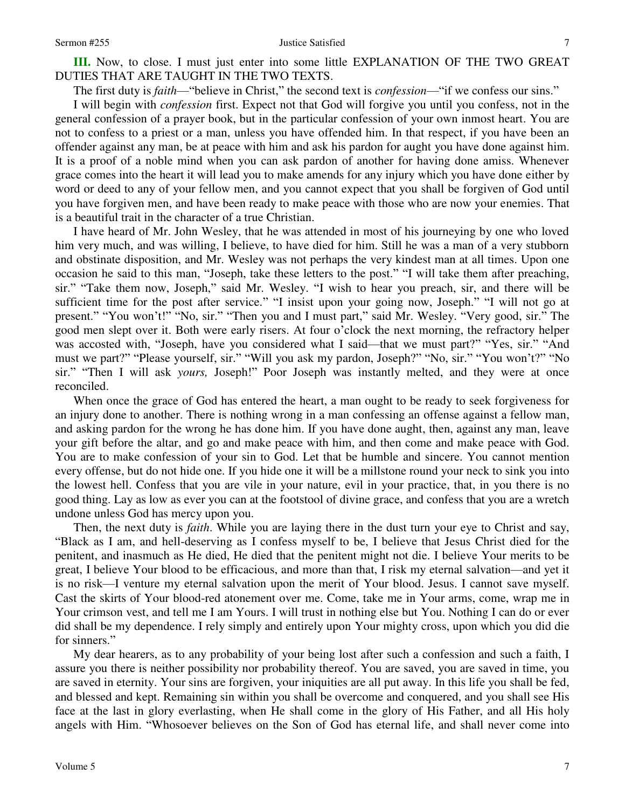## Sermon #255 Justice Satisfied

7

**III.** Now, to close. I must just enter into some little EXPLANATION OF THE TWO GREAT DUTIES THAT ARE TAUGHT IN THE TWO TEXTS.

The first duty is *faith*—"believe in Christ," the second text is *confession*—"if we confess our sins."

I will begin with *confession* first. Expect not that God will forgive you until you confess, not in the general confession of a prayer book, but in the particular confession of your own inmost heart. You are not to confess to a priest or a man, unless you have offended him. In that respect, if you have been an offender against any man, be at peace with him and ask his pardon for aught you have done against him. It is a proof of a noble mind when you can ask pardon of another for having done amiss. Whenever grace comes into the heart it will lead you to make amends for any injury which you have done either by word or deed to any of your fellow men, and you cannot expect that you shall be forgiven of God until you have forgiven men, and have been ready to make peace with those who are now your enemies. That is a beautiful trait in the character of a true Christian.

I have heard of Mr. John Wesley, that he was attended in most of his journeying by one who loved him very much, and was willing, I believe, to have died for him. Still he was a man of a very stubborn and obstinate disposition, and Mr. Wesley was not perhaps the very kindest man at all times. Upon one occasion he said to this man, "Joseph, take these letters to the post." "I will take them after preaching, sir." "Take them now, Joseph," said Mr. Wesley. "I wish to hear you preach, sir, and there will be sufficient time for the post after service." "I insist upon your going now, Joseph." "I will not go at present." "You won't!" "No, sir." "Then you and I must part," said Mr. Wesley. "Very good, sir." The good men slept over it. Both were early risers. At four o'clock the next morning, the refractory helper was accosted with, "Joseph, have you considered what I said—that we must part?" "Yes, sir." "And must we part?" "Please yourself, sir." "Will you ask my pardon, Joseph?" "No, sir." "You won't?" "No sir." "Then I will ask *yours*, Joseph!" Poor Joseph was instantly melted, and they were at once reconciled.

When once the grace of God has entered the heart, a man ought to be ready to seek forgiveness for an injury done to another. There is nothing wrong in a man confessing an offense against a fellow man, and asking pardon for the wrong he has done him. If you have done aught, then, against any man, leave your gift before the altar, and go and make peace with him, and then come and make peace with God. You are to make confession of your sin to God. Let that be humble and sincere. You cannot mention every offense, but do not hide one. If you hide one it will be a millstone round your neck to sink you into the lowest hell. Confess that you are vile in your nature, evil in your practice, that, in you there is no good thing. Lay as low as ever you can at the footstool of divine grace, and confess that you are a wretch undone unless God has mercy upon you.

Then, the next duty is *faith*. While you are laying there in the dust turn your eye to Christ and say, "Black as I am, and hell-deserving as I confess myself to be, I believe that Jesus Christ died for the penitent, and inasmuch as He died, He died that the penitent might not die. I believe Your merits to be great, I believe Your blood to be efficacious, and more than that, I risk my eternal salvation—and yet it is no risk—I venture my eternal salvation upon the merit of Your blood. Jesus. I cannot save myself. Cast the skirts of Your blood-red atonement over me. Come, take me in Your arms, come, wrap me in Your crimson vest, and tell me I am Yours. I will trust in nothing else but You. Nothing I can do or ever did shall be my dependence. I rely simply and entirely upon Your mighty cross, upon which you did die for sinners."

My dear hearers, as to any probability of your being lost after such a confession and such a faith, I assure you there is neither possibility nor probability thereof. You are saved, you are saved in time, you are saved in eternity. Your sins are forgiven, your iniquities are all put away. In this life you shall be fed, and blessed and kept. Remaining sin within you shall be overcome and conquered, and you shall see His face at the last in glory everlasting, when He shall come in the glory of His Father, and all His holy angels with Him. "Whosoever believes on the Son of God has eternal life, and shall never come into